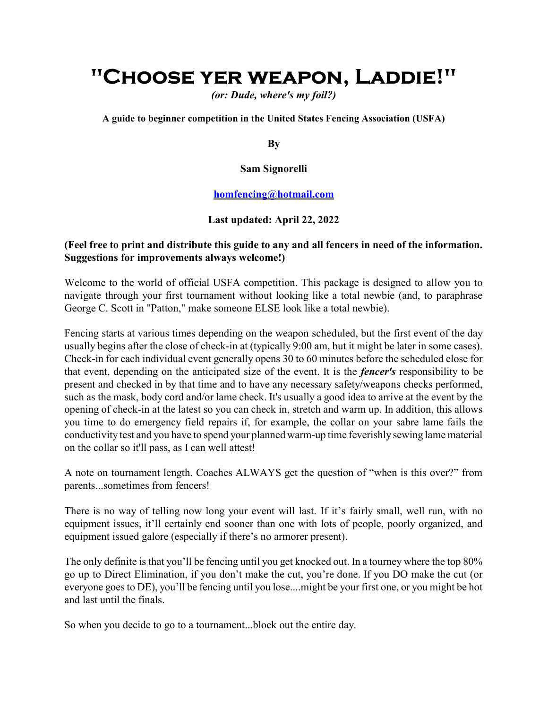# "Choose yer weapon, Laddie!"

(or: Dude, where's my foil?)

A guide to beginner competition in the United States Fencing Association (USFA)

**By** 

Sam Signorelli

homfencing@hotmail.com

Last updated: April 22, 2022

#### (Feel free to print and distribute this guide to any and all fencers in need of the information. Suggestions for improvements always welcome!)

Welcome to the world of official USFA competition. This package is designed to allow you to navigate through your first tournament without looking like a total newbie (and, to paraphrase George C. Scott in "Patton," make someone ELSE look like a total newbie).

Fencing starts at various times depending on the weapon scheduled, but the first event of the day usually begins after the close of check-in at (typically 9:00 am, but it might be later in some cases). Check-in for each individual event generally opens 30 to 60 minutes before the scheduled close for that event, depending on the anticipated size of the event. It is the **fencer's** responsibility to be present and checked in by that time and to have any necessary safety/weapons checks performed, such as the mask, body cord and/or lame check. It's usually a good idea to arrive at the event by the opening of check-in at the latest so you can check in, stretch and warm up. In addition, this allows you time to do emergency field repairs if, for example, the collar on your sabre lame fails the conductivity test and you have to spend your planned warm-up time feverishly sewing lame material on the collar so it'll pass, as I can well attest!

A note on tournament length. Coaches ALWAYS get the question of "when is this over?" from parents...sometimes from fencers!

There is no way of telling now long your event will last. If it's fairly small, well run, with no equipment issues, it'll certainly end sooner than one with lots of people, poorly organized, and equipment issued galore (especially if there's no armorer present).

The only definite is that you'll be fencing until you get knocked out. In a tourney where the top 80% go up to Direct Elimination, if you don't make the cut, you're done. If you DO make the cut (or everyone goes to DE), you'll be fencing until you lose....might be your first one, or you might be hot and last until the finals.

So when you decide to go to a tournament...block out the entire day.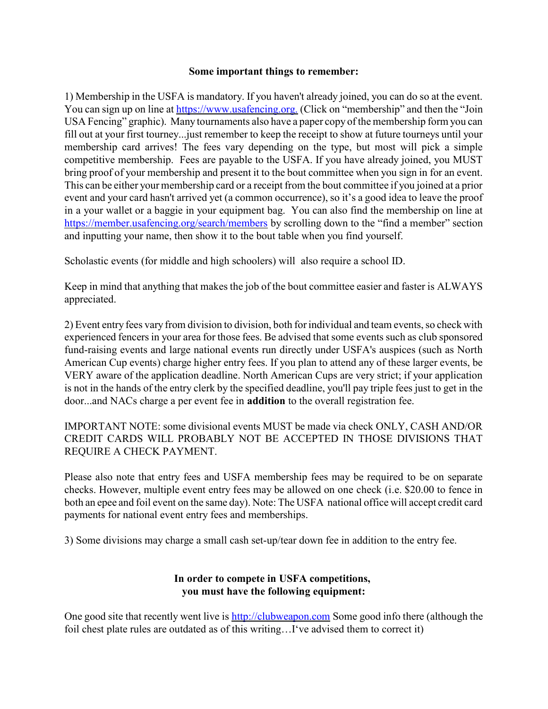#### Some important things to remember:

1) Membership in the USFA is mandatory. If you haven't already joined, you can do so at the event. You can sign up on line at https://www.usafencing.org. (Click on "membership" and then the "Join USA Fencing" graphic). Many tournaments also have a paper copy of the membership form you can fill out at your first tourney...just remember to keep the receipt to show at future tourneys until your membership card arrives! The fees vary depending on the type, but most will pick a simple competitive membership. Fees are payable to the USFA. If you have already joined, you MUST bring proof of your membership and present it to the bout committee when you sign in for an event. This can be either your membership card or a receipt from the bout committee if you joined at a prior event and your card hasn't arrived yet (a common occurrence), so it's a good idea to leave the proof in a your wallet or a baggie in your equipment bag. You can also find the membership on line at https://member.usafencing.org/search/members by scrolling down to the "find a member" section and inputting your name, then show it to the bout table when you find yourself.

Scholastic events (for middle and high schoolers) will also require a school ID.

Keep in mind that anything that makes the job of the bout committee easier and faster is ALWAYS appreciated.

2) Event entry fees vary from division to division, both for individual and team events, so check with experienced fencers in your area for those fees. Be advised that some events such as club sponsored fund-raising events and large national events run directly under USFA's auspices (such as North American Cup events) charge higher entry fees. If you plan to attend any of these larger events, be VERY aware of the application deadline. North American Cups are very strict; if your application is not in the hands of the entry clerk by the specified deadline, you'll pay triple fees just to get in the door...and NACs charge a per event fee in addition to the overall registration fee.

IMPORTANT NOTE: some divisional events MUST be made via check ONLY, CASH AND/OR CREDIT CARDS WILL PROBABLY NOT BE ACCEPTED IN THOSE DIVISIONS THAT REQUIRE A CHECK PAYMENT.

Please also note that entry fees and USFA membership fees may be required to be on separate checks. However, multiple event entry fees may be allowed on one check (i.e. \$20.00 to fence in both an epee and foil event on the same day). Note: The USFA national office will accept credit card payments for national event entry fees and memberships.

3) Some divisions may charge a small cash set-up/tear down fee in addition to the entry fee.

#### In order to compete in USFA competitions, you must have the following equipment:

One good site that recently went live is http://clubweapon.com Some good info there (although the foil chest plate rules are outdated as of this writing…I've advised them to correct it)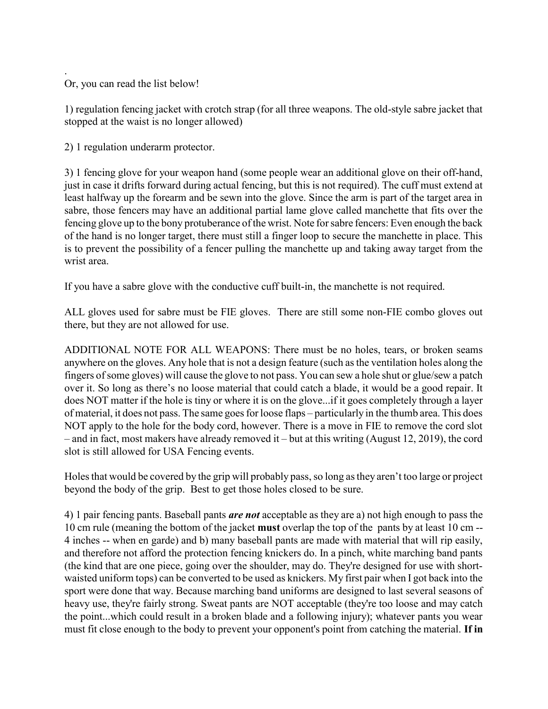. Or, you can read the list below!

1) regulation fencing jacket with crotch strap (for all three weapons. The old-style sabre jacket that stopped at the waist is no longer allowed)

2) 1 regulation underarm protector.

3) 1 fencing glove for your weapon hand (some people wear an additional glove on their off-hand, just in case it drifts forward during actual fencing, but this is not required). The cuff must extend at least halfway up the forearm and be sewn into the glove. Since the arm is part of the target area in sabre, those fencers may have an additional partial lame glove called manchette that fits over the fencing glove up to the bony protuberance of the wrist. Note for sabre fencers: Even enough the back of the hand is no longer target, there must still a finger loop to secure the manchette in place. This is to prevent the possibility of a fencer pulling the manchette up and taking away target from the wrist area.

If you have a sabre glove with the conductive cuff built-in, the manchette is not required.

ALL gloves used for sabre must be FIE gloves. There are still some non-FIE combo gloves out there, but they are not allowed for use.

ADDITIONAL NOTE FOR ALL WEAPONS: There must be no holes, tears, or broken seams anywhere on the gloves. Any hole that is not a design feature (such as the ventilation holes along the fingers of some gloves) will cause the glove to not pass. You can sew a hole shut or glue/sew a patch over it. So long as there's no loose material that could catch a blade, it would be a good repair. It does NOT matter if the hole is tiny or where it is on the glove...if it goes completely through a layer of material, it does not pass. The same goes for loose flaps – particularly in the thumb area. This does NOT apply to the hole for the body cord, however. There is a move in FIE to remove the cord slot – and in fact, most makers have already removed it – but at this writing (August 12, 2019), the cord slot is still allowed for USA Fencing events.

Holes that would be covered by the grip will probably pass, so long as they aren't too large or project beyond the body of the grip. Best to get those holes closed to be sure.

4) 1 pair fencing pants. Baseball pants *are not* acceptable as they are a) not high enough to pass the 10 cm rule (meaning the bottom of the jacket must overlap the top of the pants by at least 10 cm -- 4 inches -- when en garde) and b) many baseball pants are made with material that will rip easily, and therefore not afford the protection fencing knickers do. In a pinch, white marching band pants (the kind that are one piece, going over the shoulder, may do. They're designed for use with shortwaisted uniform tops) can be converted to be used as knickers. My first pair when I got back into the sport were done that way. Because marching band uniforms are designed to last several seasons of heavy use, they're fairly strong. Sweat pants are NOT acceptable (they're too loose and may catch the point...which could result in a broken blade and a following injury); whatever pants you wear must fit close enough to the body to prevent your opponent's point from catching the material. If in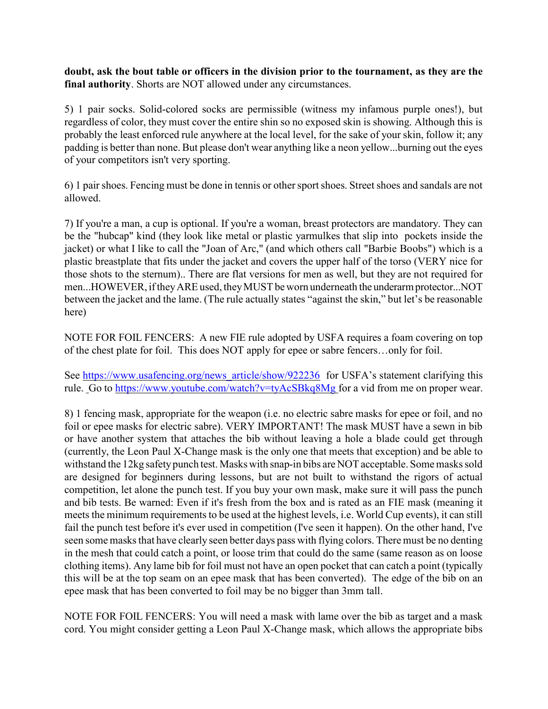doubt, ask the bout table or officers in the division prior to the tournament, as they are the final authority. Shorts are NOT allowed under any circumstances.

5) 1 pair socks. Solid-colored socks are permissible (witness my infamous purple ones!), but regardless of color, they must cover the entire shin so no exposed skin is showing. Although this is probably the least enforced rule anywhere at the local level, for the sake of your skin, follow it; any padding is better than none. But please don't wear anything like a neon yellow...burning out the eyes of your competitors isn't very sporting.

6) 1 pair shoes. Fencing must be done in tennis or other sport shoes. Street shoes and sandals are not allowed.

7) If you're a man, a cup is optional. If you're a woman, breast protectors are mandatory. They can be the "hubcap" kind (they look like metal or plastic yarmulkes that slip into pockets inside the jacket) or what I like to call the "Joan of Arc," (and which others call "Barbie Boobs") which is a plastic breastplate that fits under the jacket and covers the upper half of the torso (VERY nice for those shots to the sternum).. There are flat versions for men as well, but they are not required for men...HOWEVER, if they ARE used, they MUST be worn underneath the underarm protector...NOT between the jacket and the lame. (The rule actually states "against the skin," but let's be reasonable here)

NOTE FOR FOIL FENCERS: A new FIE rule adopted by USFA requires a foam covering on top of the chest plate for foil. This does NOT apply for epee or sabre fencers…only for foil.

See https://www.usafencing.org/news\_article/show/922236 for USFA's statement clarifying this rule. Go to https://www.youtube.com/watch?v=tyAcSBkq8Mg for a vid from me on proper wear.

8) 1 fencing mask, appropriate for the weapon (i.e. no electric sabre masks for epee or foil, and no foil or epee masks for electric sabre). VERY IMPORTANT! The mask MUST have a sewn in bib or have another system that attaches the bib without leaving a hole a blade could get through (currently, the Leon Paul X-Change mask is the only one that meets that exception) and be able to withstand the 12kg safety punch test. Masks with snap-in bibs are NOT acceptable. Some masks sold are designed for beginners during lessons, but are not built to withstand the rigors of actual competition, let alone the punch test. If you buy your own mask, make sure it will pass the punch and bib tests. Be warned: Even if it's fresh from the box and is rated as an FIE mask (meaning it meets the minimum requirements to be used at the highest levels, i.e. World Cup events), it can still fail the punch test before it's ever used in competition (I've seen it happen). On the other hand, I've seen some masks that have clearly seen better days pass with flying colors. There must be no denting in the mesh that could catch a point, or loose trim that could do the same (same reason as on loose clothing items). Any lame bib for foil must not have an open pocket that can catch a point (typically this will be at the top seam on an epee mask that has been converted). The edge of the bib on an epee mask that has been converted to foil may be no bigger than 3mm tall.

NOTE FOR FOIL FENCERS: You will need a mask with lame over the bib as target and a mask cord. You might consider getting a Leon Paul X-Change mask, which allows the appropriate bibs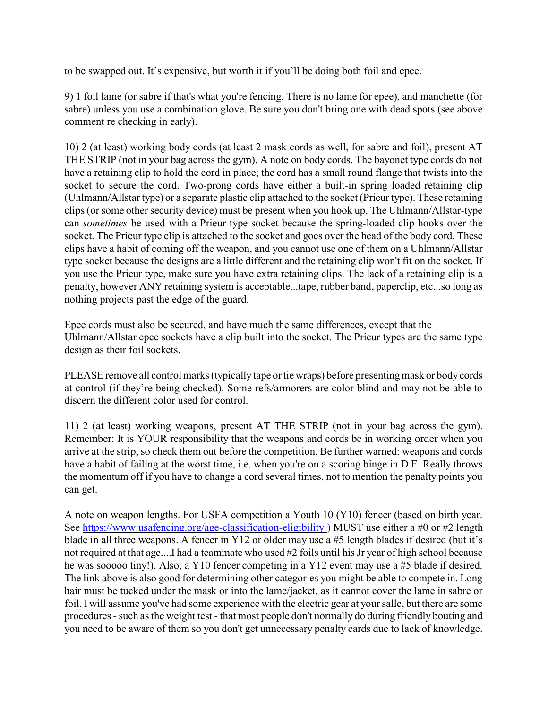to be swapped out. It's expensive, but worth it if you'll be doing both foil and epee.

9) 1 foil lame (or sabre if that's what you're fencing. There is no lame for epee), and manchette (for sabre) unless you use a combination glove. Be sure you don't bring one with dead spots (see above comment re checking in early).

10) 2 (at least) working body cords (at least 2 mask cords as well, for sabre and foil), present AT THE STRIP (not in your bag across the gym). A note on body cords. The bayonet type cords do not have a retaining clip to hold the cord in place; the cord has a small round flange that twists into the socket to secure the cord. Two-prong cords have either a built-in spring loaded retaining clip (Uhlmann/Allstar type) or a separate plastic clip attached to the socket (Prieur type). These retaining clips (or some other security device) must be present when you hook up. The Uhlmann/Allstar-type can sometimes be used with a Prieur type socket because the spring-loaded clip hooks over the socket. The Prieur type clip is attached to the socket and goes over the head of the body cord. These clips have a habit of coming off the weapon, and you cannot use one of them on a Uhlmann/Allstar type socket because the designs are a little different and the retaining clip won't fit on the socket. If you use the Prieur type, make sure you have extra retaining clips. The lack of a retaining clip is a penalty, however ANY retaining system is acceptable...tape, rubber band, paperclip, etc...so long as nothing projects past the edge of the guard.

Epee cords must also be secured, and have much the same differences, except that the Uhlmann/Allstar epee sockets have a clip built into the socket. The Prieur types are the same type design as their foil sockets.

PLEASE remove all control marks (typically tape or tie wraps) before presenting mask or body cords at control (if they're being checked). Some refs/armorers are color blind and may not be able to discern the different color used for control.

11) 2 (at least) working weapons, present AT THE STRIP (not in your bag across the gym). Remember: It is YOUR responsibility that the weapons and cords be in working order when you arrive at the strip, so check them out before the competition. Be further warned: weapons and cords have a habit of failing at the worst time, i.e. when you're on a scoring binge in D.E. Really throws the momentum off if you have to change a cord several times, not to mention the penalty points you can get.

A note on weapon lengths. For USFA competition a Youth 10 (Y10) fencer (based on birth year. See https://www.usafencing.org/age-classification-eligibility ) MUST use either a #0 or #2 length blade in all three weapons. A fencer in Y12 or older may use a #5 length blades if desired (but it's not required at that age....I had a teammate who used #2 foils until his Jr year of high school because he was sooooo tiny!). Also, a Y10 fencer competing in a Y12 event may use a #5 blade if desired. The link above is also good for determining other categories you might be able to compete in. Long hair must be tucked under the mask or into the lame/jacket, as it cannot cover the lame in sabre or foil. I will assume you've had some experience with the electric gear at your salle, but there are some procedures - such as the weight test - that most people don't normally do during friendly bouting and you need to be aware of them so you don't get unnecessary penalty cards due to lack of knowledge.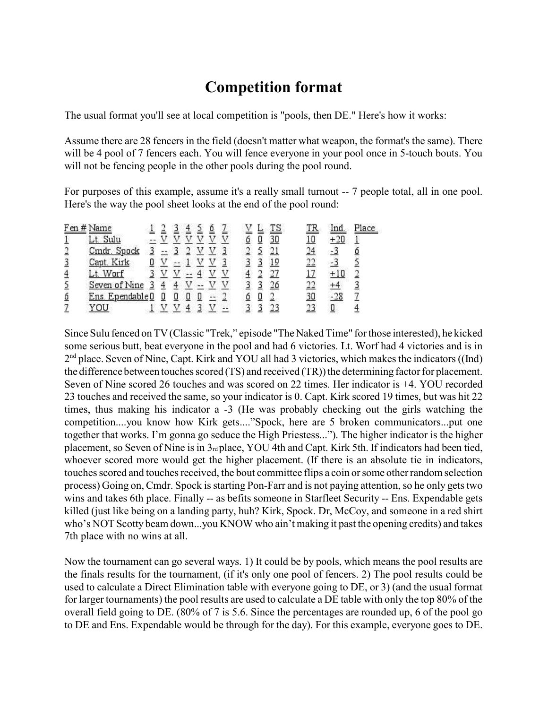### Competition format

The usual format you'll see at local competition is "pools, then DE." Here's how it works:

Assume there are 28 fencers in the field (doesn't matter what weapon, the format's the same). There will be 4 pool of 7 fencers each. You will fence everyone in your pool once in 5-touch bouts. You will not be fencing people in the other pools during the pool round.

For purposes of this example, assume it's a really small turnout -- 7 people total, all in one pool. Here's the way the pool sheet looks at the end of the pool round:

|                | Fen # Name       |  |   |  |   | <u>rs</u> |    | <u>Ind</u> | <u>Place</u> |
|----------------|------------------|--|---|--|---|-----------|----|------------|--------------|
|                | Lt. Sulu         |  |   |  | o | 30        |    | $+20$      |              |
|                | Cmdr. Spock      |  |   |  |   |           |    | -3         |              |
| $\overline{3}$ | Capt. Kirk       |  |   |  |   | <u>19</u> |    | -3         |              |
| $\overline{4}$ | Lt. Worf         |  |   |  |   | 27        |    | $+10$      |              |
| 5              | Seven of Nine    |  |   |  |   | 26        |    |            |              |
| <u>б</u>       | Ens. Ependable 0 |  | U |  | Ó |           | 30 |            |              |
|                | YOU              |  |   |  |   |           |    |            |              |

Since Sulu fenced on TV (Classic "Trek," episode "The Naked Time" for those interested), he kicked some serious butt, beat everyone in the pool and had 6 victories. Lt. Worf had 4 victories and is in 2<sup>nd</sup> place. Seven of Nine, Capt. Kirk and YOU all had 3 victories, which makes the indicators ((Ind) the difference between touches scored (TS) and received (TR)) the determining factor for placement. Seven of Nine scored 26 touches and was scored on 22 times. Her indicator is +4. YOU recorded 23 touches and received the same, so your indicator is 0. Capt. Kirk scored 19 times, but was hit 22 times, thus making his indicator a -3 (He was probably checking out the girls watching the competition....you know how Kirk gets...."Spock, here are 5 broken communicators...put one together that works. I'm gonna go seduce the High Priestess..."). The higher indicator is the higher placement, so Seven of Nine is in 3rd place, YOU 4th and Capt. Kirk 5th. If indicators had been tied, whoever scored more would get the higher placement. (If there is an absolute tie in indicators, touches scored and touches received, the bout committee flips a coin or some other random selection process) Going on, Cmdr. Spock is starting Pon-Farr and is not paying attention, so he only gets two wins and takes 6th place. Finally -- as befits someone in Starfleet Security -- Ens. Expendable gets killed (just like being on a landing party, huh? Kirk, Spock. Dr, McCoy, and someone in a red shirt who's NOT Scotty beam down...you KNOW who ain't making it past the opening credits) and takes 7th place with no wins at all.

Now the tournament can go several ways. 1) It could be by pools, which means the pool results are the finals results for the tournament, (if it's only one pool of fencers. 2) The pool results could be used to calculate a Direct Elimination table with everyone going to DE, or 3) (and the usual format for larger tournaments) the pool results are used to calculate a DE table with only the top 80% of the overall field going to DE. (80% of 7 is 5.6. Since the percentages are rounded up, 6 of the pool go to DE and Ens. Expendable would be through for the day). For this example, everyone goes to DE.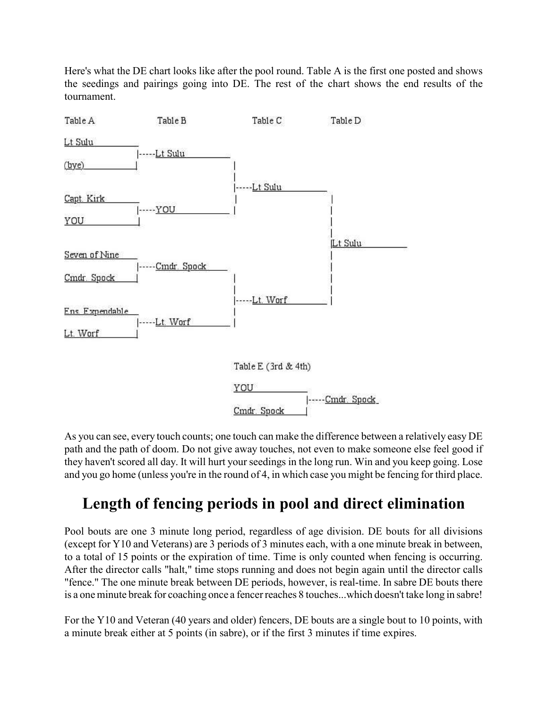Here's what the DE chart looks like after the pool round. Table A is the first one posted and shows the seedings and pairings going into DE. The rest of the chart shows the end results of the tournament.



As you can see, every touch counts; one touch can make the difference between a relatively easy DE path and the path of doom. Do not give away touches, not even to make someone else feel good if they haven't scored all day. It will hurt your seedings in the long run. Win and you keep going. Lose and you go home (unless you're in the round of 4, in which case you might be fencing for third place.

### Length of fencing periods in pool and direct elimination

Pool bouts are one 3 minute long period, regardless of age division. DE bouts for all divisions (except for Y10 and Veterans) are 3 periods of 3 minutes each, with a one minute break in between, to a total of 15 points or the expiration of time. Time is only counted when fencing is occurring. After the director calls "halt," time stops running and does not begin again until the director calls "fence." The one minute break between DE periods, however, is real-time. In sabre DE bouts there is a one minute break for coaching once a fencer reaches 8 touches...which doesn't take long in sabre!

For the Y10 and Veteran (40 years and older) fencers, DE bouts are a single bout to 10 points, with a minute break either at 5 points (in sabre), or if the first 3 minutes if time expires.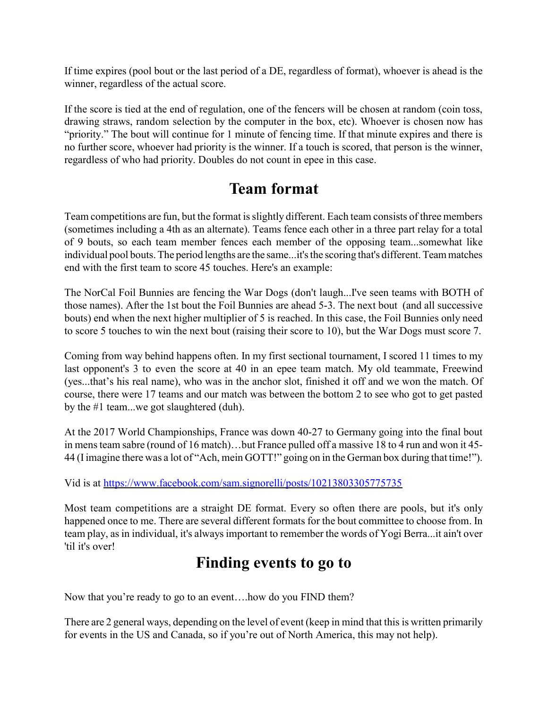If time expires (pool bout or the last period of a DE, regardless of format), whoever is ahead is the winner, regardless of the actual score.

If the score is tied at the end of regulation, one of the fencers will be chosen at random (coin toss, drawing straws, random selection by the computer in the box, etc). Whoever is chosen now has "priority." The bout will continue for 1 minute of fencing time. If that minute expires and there is no further score, whoever had priority is the winner. If a touch is scored, that person is the winner, regardless of who had priority. Doubles do not count in epee in this case.

### Team format

Team competitions are fun, but the format is slightly different. Each team consists of three members (sometimes including a 4th as an alternate). Teams fence each other in a three part relay for a total of 9 bouts, so each team member fences each member of the opposing team...somewhat like individual pool bouts. The period lengths are the same...it's the scoring that's different. Team matches end with the first team to score 45 touches. Here's an example:

The NorCal Foil Bunnies are fencing the War Dogs (don't laugh...I've seen teams with BOTH of those names). After the 1st bout the Foil Bunnies are ahead 5-3. The next bout (and all successive bouts) end when the next higher multiplier of 5 is reached. In this case, the Foil Bunnies only need to score 5 touches to win the next bout (raising their score to 10), but the War Dogs must score 7.

Coming from way behind happens often. In my first sectional tournament, I scored 11 times to my last opponent's 3 to even the score at 40 in an epee team match. My old teammate, Freewind (yes...that's his real name), who was in the anchor slot, finished it off and we won the match. Of course, there were 17 teams and our match was between the bottom 2 to see who got to get pasted by the #1 team...we got slaughtered (duh).

At the 2017 World Championships, France was down 40-27 to Germany going into the final bout in mens team sabre (round of 16 match)…but France pulled off a massive 18 to 4 run and won it 45- 44 (I imagine there was a lot of "Ach, mein GOTT!" going on in the German box during that time!").

#### Vid is at https://www.facebook.com/sam.signorelli/posts/10213803305775735

Most team competitions are a straight DE format. Every so often there are pools, but it's only happened once to me. There are several different formats for the bout committee to choose from. In team play, as in individual, it's always important to remember the words of Yogi Berra...it ain't over 'til it's over!

#### Finding events to go to

Now that you're ready to go to an event….how do you FIND them?

There are 2 general ways, depending on the level of event (keep in mind that this is written primarily for events in the US and Canada, so if you're out of North America, this may not help).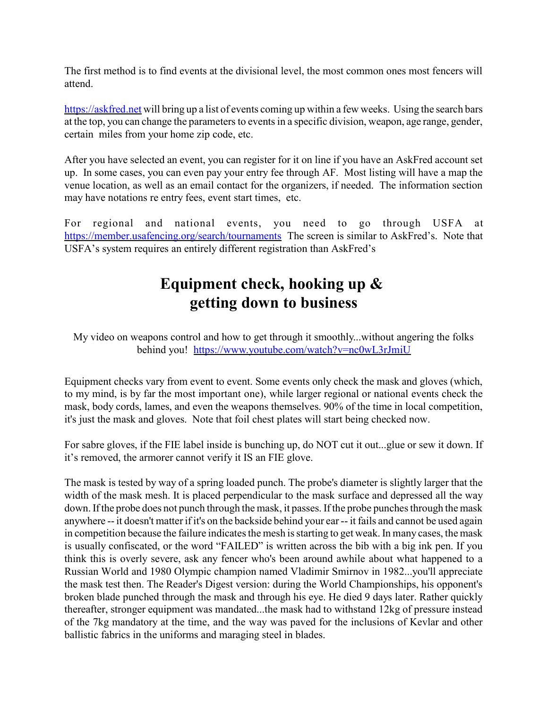The first method is to find events at the divisional level, the most common ones most fencers will attend.

https://askfred.net will bring up a list of events coming up within a few weeks. Using the search bars at the top, you can change the parameters to events in a specific division, weapon, age range, gender, certain miles from your home zip code, etc.

After you have selected an event, you can register for it on line if you have an AskFred account set up. In some cases, you can even pay your entry fee through AF. Most listing will have a map the venue location, as well as an email contact for the organizers, if needed. The information section may have notations re entry fees, event start times, etc.

For regional and national events, you need to go through USFA at https://member.usafencing.org/search/tournaments The screen is similar to AskFred's. Note that USFA's system requires an entirely different registration than AskFred's

## Equipment check, hooking up & getting down to business

My video on weapons control and how to get through it smoothly...without angering the folks behind you! https://www.youtube.com/watch?v=nc0wL3rJmiU

Equipment checks vary from event to event. Some events only check the mask and gloves (which, to my mind, is by far the most important one), while larger regional or national events check the mask, body cords, lames, and even the weapons themselves. 90% of the time in local competition, it's just the mask and gloves. Note that foil chest plates will start being checked now.

For sabre gloves, if the FIE label inside is bunching up, do NOT cut it out...glue or sew it down. If it's removed, the armorer cannot verify it IS an FIE glove.

The mask is tested by way of a spring loaded punch. The probe's diameter is slightly larger that the width of the mask mesh. It is placed perpendicular to the mask surface and depressed all the way down. If the probe does not punch through the mask, it passes. If the probe punches through the mask anywhere -- it doesn't matter if it's on the backside behind your ear -- it fails and cannot be used again in competition because the failure indicates the mesh is starting to get weak. In many cases, the mask is usually confiscated, or the word "FAILED" is written across the bib with a big ink pen. If you think this is overly severe, ask any fencer who's been around awhile about what happened to a Russian World and 1980 Olympic champion named Vladimir Smirnov in 1982...you'll appreciate the mask test then. The Reader's Digest version: during the World Championships, his opponent's broken blade punched through the mask and through his eye. He died 9 days later. Rather quickly thereafter, stronger equipment was mandated...the mask had to withstand 12kg of pressure instead of the 7kg mandatory at the time, and the way was paved for the inclusions of Kevlar and other ballistic fabrics in the uniforms and maraging steel in blades.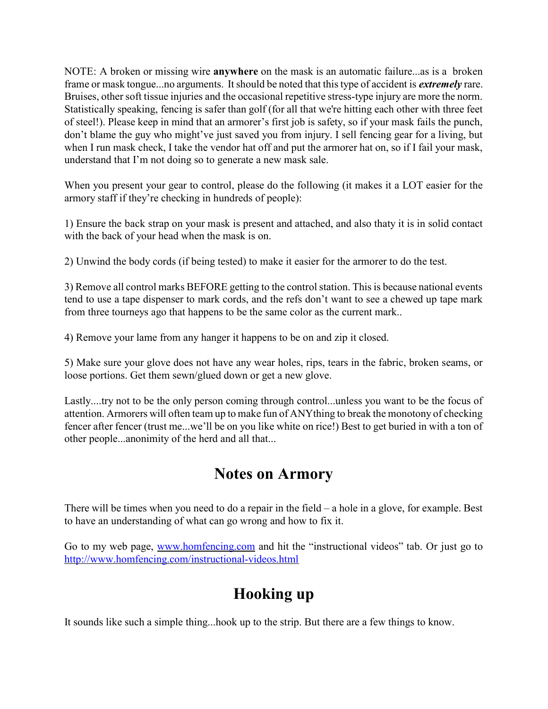NOTE: A broken or missing wire **anywhere** on the mask is an automatic failure...as is a broken frame or mask tongue...no arguments. It should be noted that this type of accident is *extremely* rare. Bruises, other soft tissue injuries and the occasional repetitive stress-type injury are more the norm. Statistically speaking, fencing is safer than golf (for all that we're hitting each other with three feet of steel!). Please keep in mind that an armorer's first job is safety, so if your mask fails the punch, don't blame the guy who might've just saved you from injury. I sell fencing gear for a living, but when I run mask check, I take the vendor hat off and put the armorer hat on, so if I fail your mask, understand that I'm not doing so to generate a new mask sale.

When you present your gear to control, please do the following (it makes it a LOT easier for the armory staff if they're checking in hundreds of people):

1) Ensure the back strap on your mask is present and attached, and also thaty it is in solid contact with the back of your head when the mask is on.

2) Unwind the body cords (if being tested) to make it easier for the armorer to do the test.

3) Remove all control marks BEFORE getting to the control station. This is because national events tend to use a tape dispenser to mark cords, and the refs don't want to see a chewed up tape mark from three tourneys ago that happens to be the same color as the current mark..

4) Remove your lame from any hanger it happens to be on and zip it closed.

5) Make sure your glove does not have any wear holes, rips, tears in the fabric, broken seams, or loose portions. Get them sewn/glued down or get a new glove.

Lastly....try not to be the only person coming through control...unless you want to be the focus of attention. Armorers will often team up to make fun of ANYthing to break the monotony of checking fencer after fencer (trust me...we'll be on you like white on rice!) Best to get buried in with a ton of other people...anonimity of the herd and all that...

#### Notes on Armory

There will be times when you need to do a repair in the field – a hole in a glove, for example. Best to have an understanding of what can go wrong and how to fix it.

Go to my web page, www.homfencing.com and hit the "instructional videos" tab. Or just go to http://www.homfencing.com/instructional-videos.html

### Hooking up

It sounds like such a simple thing...hook up to the strip. But there are a few things to know.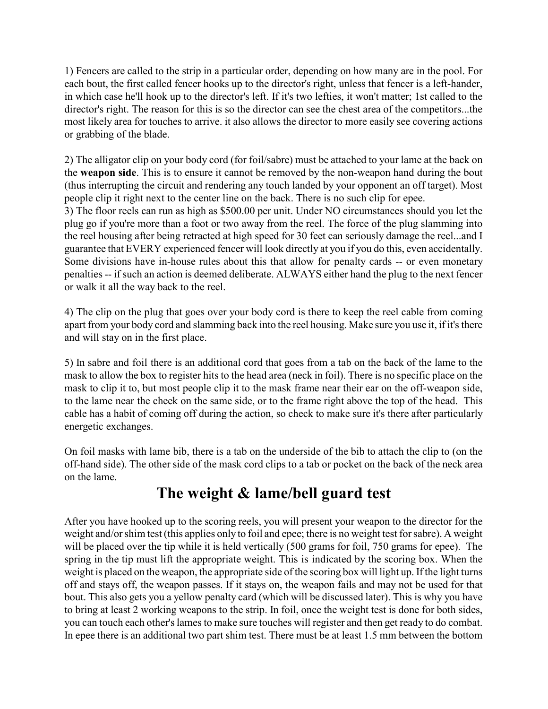1) Fencers are called to the strip in a particular order, depending on how many are in the pool. For each bout, the first called fencer hooks up to the director's right, unless that fencer is a left-hander, in which case he'll hook up to the director's left. If it's two lefties, it won't matter; 1st called to the director's right. The reason for this is so the director can see the chest area of the competitors...the most likely area for touches to arrive. it also allows the director to more easily see covering actions or grabbing of the blade.

2) The alligator clip on your body cord (for foil/sabre) must be attached to your lame at the back on the weapon side. This is to ensure it cannot be removed by the non-weapon hand during the bout (thus interrupting the circuit and rendering any touch landed by your opponent an off target). Most people clip it right next to the center line on the back. There is no such clip for epee.

3) The floor reels can run as high as \$500.00 per unit. Under NO circumstances should you let the plug go if you're more than a foot or two away from the reel. The force of the plug slamming into the reel housing after being retracted at high speed for 30 feet can seriously damage the reel...and I guarantee that EVERY experienced fencer will look directly at you if you do this, even accidentally. Some divisions have in-house rules about this that allow for penalty cards -- or even monetary penalties -- if such an action is deemed deliberate. ALWAYS either hand the plug to the next fencer or walk it all the way back to the reel.

4) The clip on the plug that goes over your body cord is there to keep the reel cable from coming apart from your body cord and slamming back into the reel housing. Make sure you use it, if it's there and will stay on in the first place.

5) In sabre and foil there is an additional cord that goes from a tab on the back of the lame to the mask to allow the box to register hits to the head area (neck in foil). There is no specific place on the mask to clip it to, but most people clip it to the mask frame near their ear on the off-weapon side, to the lame near the cheek on the same side, or to the frame right above the top of the head. This cable has a habit of coming off during the action, so check to make sure it's there after particularly energetic exchanges.

On foil masks with lame bib, there is a tab on the underside of the bib to attach the clip to (on the off-hand side). The other side of the mask cord clips to a tab or pocket on the back of the neck area on the lame.

## The weight & lame/bell guard test

After you have hooked up to the scoring reels, you will present your weapon to the director for the weight and/or shim test (this applies only to foil and epee; there is no weight test for sabre). A weight will be placed over the tip while it is held vertically (500 grams for foil, 750 grams for epee). The spring in the tip must lift the appropriate weight. This is indicated by the scoring box. When the weight is placed on the weapon, the appropriate side of the scoring box will light up. If the light turns off and stays off, the weapon passes. If it stays on, the weapon fails and may not be used for that bout. This also gets you a yellow penalty card (which will be discussed later). This is why you have to bring at least 2 working weapons to the strip. In foil, once the weight test is done for both sides, you can touch each other's lames to make sure touches will register and then get ready to do combat. In epee there is an additional two part shim test. There must be at least 1.5 mm between the bottom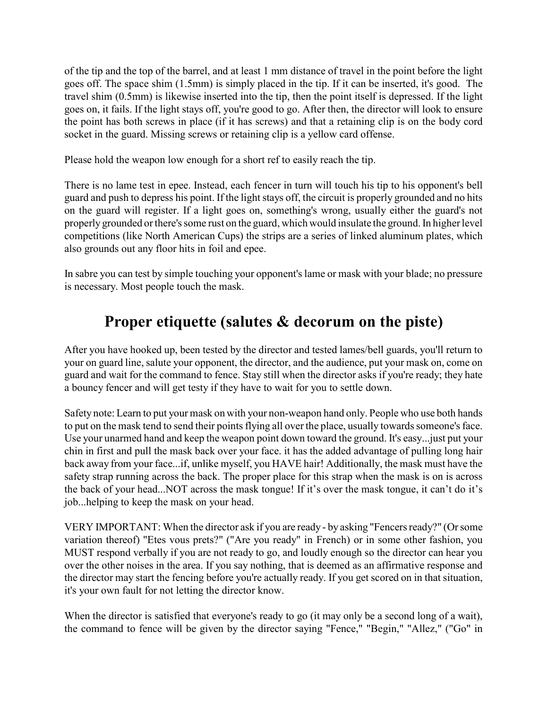of the tip and the top of the barrel, and at least 1 mm distance of travel in the point before the light goes off. The space shim (1.5mm) is simply placed in the tip. If it can be inserted, it's good. The travel shim (0.5mm) is likewise inserted into the tip, then the point itself is depressed. If the light goes on, it fails. If the light stays off, you're good to go. After then, the director will look to ensure the point has both screws in place (if it has screws) and that a retaining clip is on the body cord socket in the guard. Missing screws or retaining clip is a yellow card offense.

Please hold the weapon low enough for a short ref to easily reach the tip.

There is no lame test in epee. Instead, each fencer in turn will touch his tip to his opponent's bell guard and push to depress his point. If the light stays off, the circuit is properly grounded and no hits on the guard will register. If a light goes on, something's wrong, usually either the guard's not properly grounded or there's some rust on the guard, which would insulate the ground. In higher level competitions (like North American Cups) the strips are a series of linked aluminum plates, which also grounds out any floor hits in foil and epee.

In sabre you can test by simple touching your opponent's lame or mask with your blade; no pressure is necessary. Most people touch the mask.

## Proper etiquette (salutes & decorum on the piste)

After you have hooked up, been tested by the director and tested lames/bell guards, you'll return to your on guard line, salute your opponent, the director, and the audience, put your mask on, come on guard and wait for the command to fence. Stay still when the director asks if you're ready; they hate a bouncy fencer and will get testy if they have to wait for you to settle down.

Safety note: Learn to put your mask on with your non-weapon hand only. People who use both hands to put on the mask tend to send their points flying all over the place, usually towards someone's face. Use your unarmed hand and keep the weapon point down toward the ground. It's easy...just put your chin in first and pull the mask back over your face. it has the added advantage of pulling long hair back away from your face...if, unlike myself, you HAVE hair! Additionally, the mask must have the safety strap running across the back. The proper place for this strap when the mask is on is across the back of your head...NOT across the mask tongue! If it's over the mask tongue, it can't do it's job...helping to keep the mask on your head.

VERY IMPORTANT: When the director ask if you are ready - by asking "Fencers ready?" (Or some variation thereof) "Etes vous prets?" ("Are you ready" in French) or in some other fashion, you MUST respond verbally if you are not ready to go, and loudly enough so the director can hear you over the other noises in the area. If you say nothing, that is deemed as an affirmative response and the director may start the fencing before you're actually ready. If you get scored on in that situation, it's your own fault for not letting the director know.

When the director is satisfied that everyone's ready to go (it may only be a second long of a wait), the command to fence will be given by the director saying "Fence," "Begin," "Allez," ("Go" in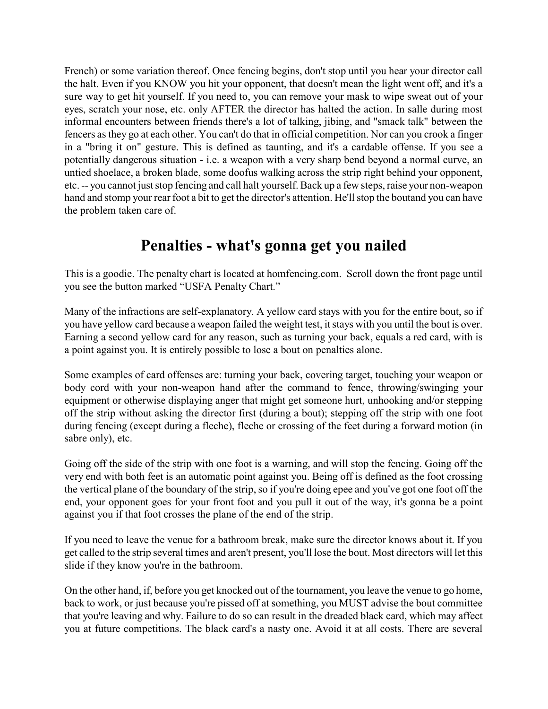French) or some variation thereof. Once fencing begins, don't stop until you hear your director call the halt. Even if you KNOW you hit your opponent, that doesn't mean the light went off, and it's a sure way to get hit yourself. If you need to, you can remove your mask to wipe sweat out of your eyes, scratch your nose, etc. only AFTER the director has halted the action. In salle during most informal encounters between friends there's a lot of talking, jibing, and "smack talk" between the fencers as they go at each other. You can't do that in official competition. Nor can you crook a finger in a "bring it on" gesture. This is defined as taunting, and it's a cardable offense. If you see a potentially dangerous situation - i.e. a weapon with a very sharp bend beyond a normal curve, an untied shoelace, a broken blade, some doofus walking across the strip right behind your opponent, etc. -- you cannot just stop fencing and call halt yourself. Back up a few steps, raise your non-weapon hand and stomp your rear foot a bit to get the director's attention. He'll stop the boutand you can have the problem taken care of.

#### Penalties - what's gonna get you nailed

This is a goodie. The penalty chart is located at homfencing.com. Scroll down the front page until you see the button marked "USFA Penalty Chart."

Many of the infractions are self-explanatory. A yellow card stays with you for the entire bout, so if you have yellow card because a weapon failed the weight test, it stays with you until the bout is over. Earning a second yellow card for any reason, such as turning your back, equals a red card, with is a point against you. It is entirely possible to lose a bout on penalties alone.

Some examples of card offenses are: turning your back, covering target, touching your weapon or body cord with your non-weapon hand after the command to fence, throwing/swinging your equipment or otherwise displaying anger that might get someone hurt, unhooking and/or stepping off the strip without asking the director first (during a bout); stepping off the strip with one foot during fencing (except during a fleche), fleche or crossing of the feet during a forward motion (in sabre only), etc.

Going off the side of the strip with one foot is a warning, and will stop the fencing. Going off the very end with both feet is an automatic point against you. Being off is defined as the foot crossing the vertical plane of the boundary of the strip, so if you're doing epee and you've got one foot off the end, your opponent goes for your front foot and you pull it out of the way, it's gonna be a point against you if that foot crosses the plane of the end of the strip.

If you need to leave the venue for a bathroom break, make sure the director knows about it. If you get called to the strip several times and aren't present, you'll lose the bout. Most directors will let this slide if they know you're in the bathroom.

On the other hand, if, before you get knocked out of the tournament, you leave the venue to go home, back to work, or just because you're pissed off at something, you MUST advise the bout committee that you're leaving and why. Failure to do so can result in the dreaded black card, which may affect you at future competitions. The black card's a nasty one. Avoid it at all costs. There are several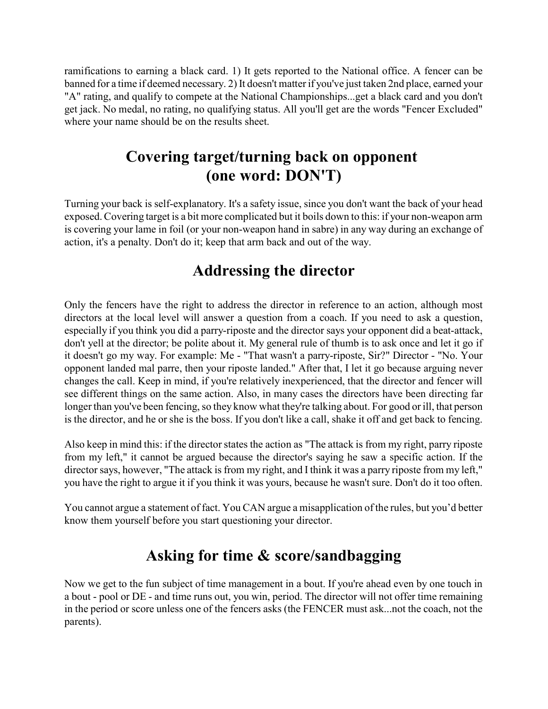ramifications to earning a black card. 1) It gets reported to the National office. A fencer can be banned for a time if deemed necessary. 2) It doesn't matter if you've just taken 2nd place, earned your "A" rating, and qualify to compete at the National Championships...get a black card and you don't get jack. No medal, no rating, no qualifying status. All you'll get are the words "Fencer Excluded" where your name should be on the results sheet.

### Covering target/turning back on opponent (one word: DON'T)

Turning your back is self-explanatory. It's a safety issue, since you don't want the back of your head exposed. Covering target is a bit more complicated but it boils down to this: if your non-weapon arm is covering your lame in foil (or your non-weapon hand in sabre) in any way during an exchange of action, it's a penalty. Don't do it; keep that arm back and out of the way.

### Addressing the director

Only the fencers have the right to address the director in reference to an action, although most directors at the local level will answer a question from a coach. If you need to ask a question, especially if you think you did a parry-riposte and the director says your opponent did a beat-attack, don't yell at the director; be polite about it. My general rule of thumb is to ask once and let it go if it doesn't go my way. For example: Me - "That wasn't a parry-riposte, Sir?" Director - "No. Your opponent landed mal parre, then your riposte landed." After that, I let it go because arguing never changes the call. Keep in mind, if you're relatively inexperienced, that the director and fencer will see different things on the same action. Also, in many cases the directors have been directing far longer than you've been fencing, so they know what they're talking about. For good or ill, that person is the director, and he or she is the boss. If you don't like a call, shake it off and get back to fencing.

Also keep in mind this: if the director states the action as "The attack is from my right, parry riposte from my left," it cannot be argued because the director's saying he saw a specific action. If the director says, however, "The attack is from my right, and I think it was a parry riposte from my left," you have the right to argue it if you think it was yours, because he wasn't sure. Don't do it too often.

You cannot argue a statement of fact. You CAN argue a misapplication of the rules, but you'd better know them yourself before you start questioning your director.

## Asking for time & score/sandbagging

Now we get to the fun subject of time management in a bout. If you're ahead even by one touch in a bout - pool or DE - and time runs out, you win, period. The director will not offer time remaining in the period or score unless one of the fencers asks (the FENCER must ask...not the coach, not the parents).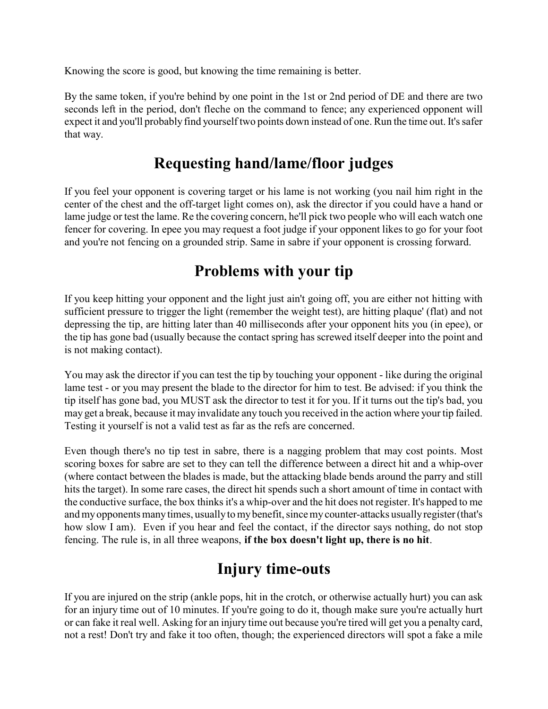Knowing the score is good, but knowing the time remaining is better.

By the same token, if you're behind by one point in the 1st or 2nd period of DE and there are two seconds left in the period, don't fleche on the command to fence; any experienced opponent will expect it and you'll probably find yourself two points down instead of one. Run the time out. It's safer that way.

### Requesting hand/lame/floor judges

If you feel your opponent is covering target or his lame is not working (you nail him right in the center of the chest and the off-target light comes on), ask the director if you could have a hand or lame judge or test the lame. Re the covering concern, he'll pick two people who will each watch one fencer for covering. In epee you may request a foot judge if your opponent likes to go for your foot and you're not fencing on a grounded strip. Same in sabre if your opponent is crossing forward.

### Problems with your tip

If you keep hitting your opponent and the light just ain't going off, you are either not hitting with sufficient pressure to trigger the light (remember the weight test), are hitting plaque' (flat) and not depressing the tip, are hitting later than 40 milliseconds after your opponent hits you (in epee), or the tip has gone bad (usually because the contact spring has screwed itself deeper into the point and is not making contact).

You may ask the director if you can test the tip by touching your opponent - like during the original lame test - or you may present the blade to the director for him to test. Be advised: if you think the tip itself has gone bad, you MUST ask the director to test it for you. If it turns out the tip's bad, you may get a break, because it may invalidate any touch you received in the action where your tip failed. Testing it yourself is not a valid test as far as the refs are concerned.

Even though there's no tip test in sabre, there is a nagging problem that may cost points. Most scoring boxes for sabre are set to they can tell the difference between a direct hit and a whip-over (where contact between the blades is made, but the attacking blade bends around the parry and still hits the target). In some rare cases, the direct hit spends such a short amount of time in contact with the conductive surface, the box thinks it's a whip-over and the hit does not register. It's happed to me and my opponents many times, usually to my benefit, since my counter-attacks usually register (that's how slow I am). Even if you hear and feel the contact, if the director says nothing, do not stop fencing. The rule is, in all three weapons, if the box doesn't light up, there is no hit.

## Injury time-outs

If you are injured on the strip (ankle pops, hit in the crotch, or otherwise actually hurt) you can ask for an injury time out of 10 minutes. If you're going to do it, though make sure you're actually hurt or can fake it real well. Asking for an injury time out because you're tired will get you a penalty card, not a rest! Don't try and fake it too often, though; the experienced directors will spot a fake a mile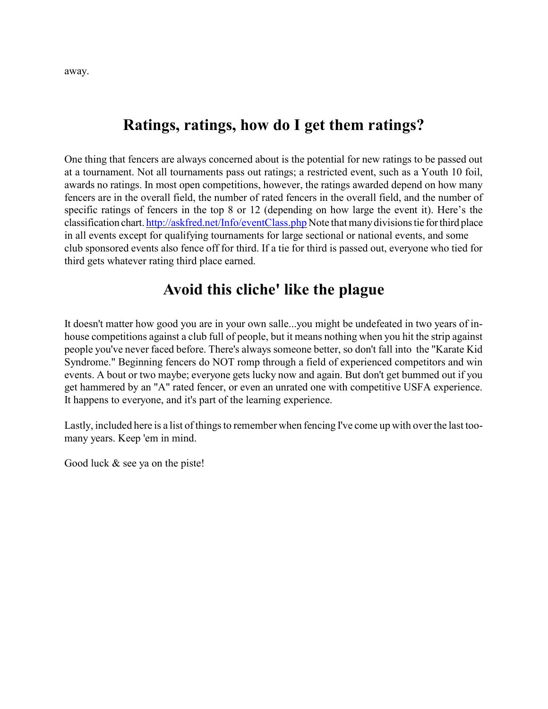away.

#### Ratings, ratings, how do I get them ratings?

One thing that fencers are always concerned about is the potential for new ratings to be passed out at a tournament. Not all tournaments pass out ratings; a restricted event, such as a Youth 10 foil, awards no ratings. In most open competitions, however, the ratings awarded depend on how many fencers are in the overall field, the number of rated fencers in the overall field, and the number of specific ratings of fencers in the top 8 or 12 (depending on how large the event it). Here's the classification chart. http://askfred.net/Info/eventClass.php Note that many divisions tie for third place in all events except for qualifying tournaments for large sectional or national events, and some club sponsored events also fence off for third. If a tie for third is passed out, everyone who tied for third gets whatever rating third place earned.

#### Avoid this cliche' like the plague

It doesn't matter how good you are in your own salle...you might be undefeated in two years of inhouse competitions against a club full of people, but it means nothing when you hit the strip against people you've never faced before. There's always someone better, so don't fall into the "Karate Kid Syndrome." Beginning fencers do NOT romp through a field of experienced competitors and win events. A bout or two maybe; everyone gets lucky now and again. But don't get bummed out if you get hammered by an "A" rated fencer, or even an unrated one with competitive USFA experience. It happens to everyone, and it's part of the learning experience.

Lastly, included here is a list of things to remember when fencing I've come up with over the last toomany years. Keep 'em in mind.

Good luck & see ya on the piste!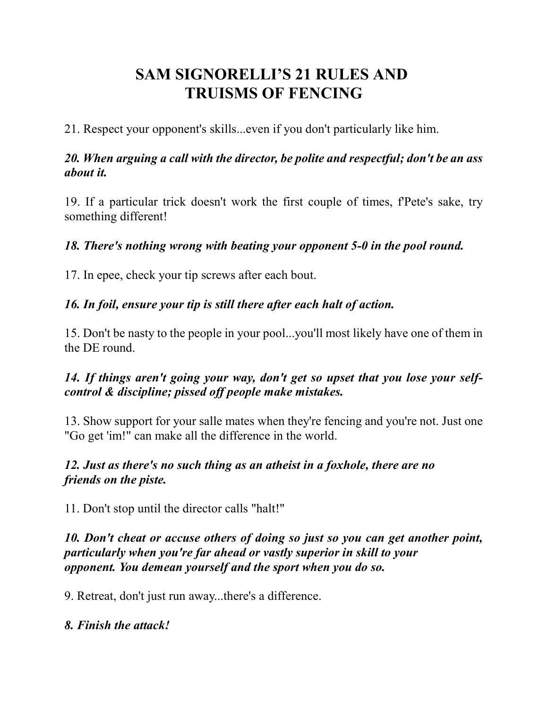## SAM SIGNORELLI'S 21 RULES AND TRUISMS OF FENCING

21. Respect your opponent's skills...even if you don't particularly like him.

#### 20. When arguing a call with the director, be polite and respectful; don't be an ass about it.

19. If a particular trick doesn't work the first couple of times, f'Pete's sake, try something different!

#### 18. There's nothing wrong with beating your opponent 5-0 in the pool round.

17. In epee, check your tip screws after each bout.

#### 16. In foil, ensure your tip is still there after each halt of action.

15. Don't be nasty to the people in your pool...you'll most likely have one of them in the DE round.

#### 14. If things aren't going your way, don't get so upset that you lose your selfcontrol & discipline; pissed off people make mistakes.

13. Show support for your salle mates when they're fencing and you're not. Just one "Go get 'im!" can make all the difference in the world.

#### 12. Just as there's no such thing as an atheist in a foxhole, there are no friends on the piste.

11. Don't stop until the director calls "halt!"

#### 10. Don't cheat or accuse others of doing so just so you can get another point, particularly when you're far ahead or vastly superior in skill to your opponent. You demean yourself and the sport when you do so.

9. Retreat, don't just run away...there's a difference.

#### 8. Finish the attack!